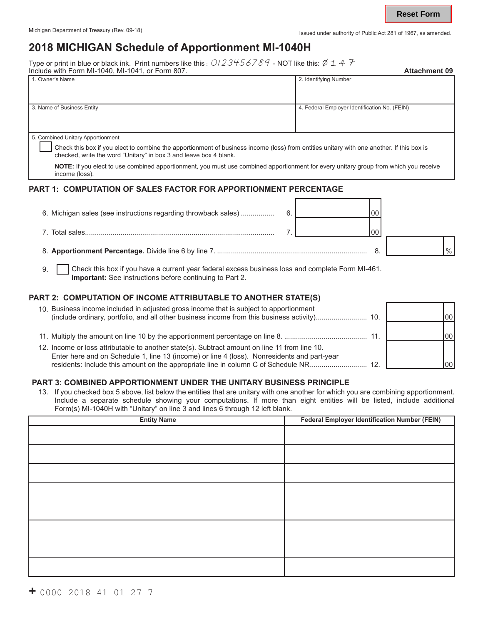# **2018 MICHIGAN Schedule of Apportionment MI-1040H**

Type or print in blue or black ink. Print numbers like this : 0123456789 - NOT like this: 1 4 Include with Form MI-1040, MI-1041, or Form 807. **Attachment 09**

| INCRUGE WILL FORTH IVIT TO 40, IVIT TO 41, OF FORTH OUT.                                                                                                                                                                                            | Allaumnenl və                                 |  |  |  |
|-----------------------------------------------------------------------------------------------------------------------------------------------------------------------------------------------------------------------------------------------------|-----------------------------------------------|--|--|--|
| 1. Owner's Name                                                                                                                                                                                                                                     | 2. Identifying Number                         |  |  |  |
| 3. Name of Business Entity                                                                                                                                                                                                                          | 4. Federal Employer Identification No. (FEIN) |  |  |  |
| 5. Combined Unitary Apportionment<br>Check this box if you elect to combine the apportionment of business income (loss) from entities unitary with one another. If this box is<br>checked, write the word "Unitary" in box 3 and leave box 4 blank. |                                               |  |  |  |
| NOTE: If you elect to use combined apportionment, you must use combined apportionment for every unitary group from which you receive<br>income (loss).                                                                                              |                                               |  |  |  |

#### **PART 1: COMPUTATION OF SALES FACTOR FOR APPORTIONMENT PERCENTAGE**

| 6. Michigan sales (see instructions regarding throwback sales) | 0C |      |
|----------------------------------------------------------------|----|------|
|                                                                | OC |      |
|                                                                |    | $\%$ |

9. Check this box if you have a current year federal excess business loss and complete Form MI-461. **Important:** See instructions before continuing to Part 2.

## **PART 2: COMPUTATION OF INCOME ATTRIBUTABLE TO ANOTHER STATE(S)**

| 10. Business income included in adjusted gross income that is subject to apportionment                                                                                                                                                                                            |     | 100 |
|-----------------------------------------------------------------------------------------------------------------------------------------------------------------------------------------------------------------------------------------------------------------------------------|-----|-----|
|                                                                                                                                                                                                                                                                                   | 11. | 100 |
| 12. Income or loss attributable to another state(s). Subtract amount on line 11 from line 10.<br>Enter here and on Schedule 1, line 13 (income) or line 4 (loss). Nonresidents and part-year<br>residents: Include this amount on the appropriate line in column C of Schedule NR | 12  | 100 |

## **PART 3: COMBINED APPORTIONMENT UNDER THE UNITARY BUSINESS PRINCIPLE**

13. If you checked box 5 above, list below the entities that are unitary with one another for which you are combining apportionment. Include a separate schedule showing your computations. If more than eight entities will be listed, include additional Form(s) MI-1040H with "Unitary" on line 3 and lines 6 through 12 left blank.

| <b>Entity Name</b> | <b>Federal Employer Identification Number (FEIN)</b> |
|--------------------|------------------------------------------------------|
|                    |                                                      |
|                    |                                                      |
|                    |                                                      |
|                    |                                                      |
|                    |                                                      |
|                    |                                                      |
|                    |                                                      |
|                    |                                                      |
|                    |                                                      |
|                    |                                                      |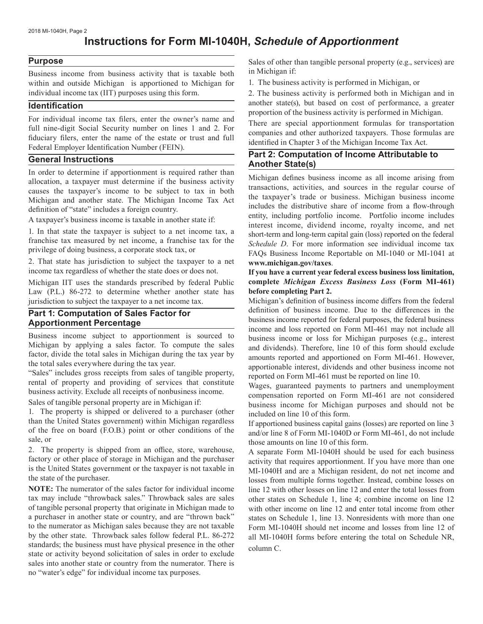# **Instructions for Form MI-1040H,** *Schedule of Apportionment*

#### **Purpose**

Business income from business activity that is taxable both within and outside Michigan is apportioned to Michigan for individual income tax (IIT) purposes using this form.

#### **Identification**

For individual income tax filers, enter the owner's name and full nine-digit Social Security number on lines 1 and 2. For fiduciary filers, enter the name of the estate or trust and full Federal Employer Identification Number (FEIN).

#### **General Instructions**

In order to determine if apportionment is required rather than allocation, a taxpayer must determine if the business activity causes the taxpayer's income to be subject to tax in both Michigan and another state. The Michigan Income Tax Act definition of "state" includes a foreign country.

A taxpayer's business income is taxable in another state if:

1. In that state the taxpayer is subject to a net income tax, a franchise tax measured by net income, a franchise tax for the privilege of doing business, a corporate stock tax, or

2. That state has jurisdiction to subject the taxpayer to a net income tax regardless of whether the state does or does not.

Michigan IIT uses the standards prescribed by federal Public Law (P.L.) 86-272 to determine whether another state has jurisdiction to subject the taxpayer to a net income tax.

## **Part 1: Computation of Sales Factor for Apportionment Percentage**

Business income subject to apportionment is sourced to Michigan by applying a sales factor. To compute the sales factor, divide the total sales in Michigan during the tax year by the total sales everywhere during the tax year.

"Sales" includes gross receipts from sales of tangible property, rental of property and providing of services that constitute business activity. Exclude all receipts of nonbusiness income.

Sales of tangible personal property are in Michigan if:

1. The property is shipped or delivered to a purchaser (other than the United States government) within Michigan regardless of the free on board (F.O.B.) point or other conditions of the sale, or

2. The property is shipped from an office, store, warehouse, factory or other place of storage in Michigan and the purchaser is the United States government or the taxpayer is not taxable in the state of the purchaser.

**NOTE:** The numerator of the sales factor for individual income tax may include "throwback sales." Throwback sales are sales of tangible personal property that originate in Michigan made to a purchaser in another state or country, and are "thrown back" to the numerator as Michigan sales because they are not taxable by the other state. Throwback sales follow federal P.L. 86-272 standards; the business must have physical presence in the other state or activity beyond solicitation of sales in order to exclude sales into another state or country from the numerator. There is no "water's edge" for individual income tax purposes.

Sales of other than tangible personal property (e.g., services) are in Michigan if:

1. The business activity is performed in Michigan, or

2. The business activity is performed both in Michigan and in another state(s), but based on cost of performance, a greater proportion of the business activity is performed in Michigan.

There are special apportionment formulas for transportation companies and other authorized taxpayers. Those formulas are identified in Chapter 3 of the Michigan Income Tax Act.

#### **Part 2: Computation of Income Attributable to Another State(s)**

Michigan defines business income as all income arising from transactions, activities, and sources in the regular course of the taxpayer's trade or business. Michigan business income includes the distributive share of income from a flow-through entity, including portfolio income. Portfolio income includes interest income, dividend income, royalty income, and net short-term and long-term capital gain (loss) reported on the federal *Schedule D*. For more information see individual income tax FAQs Business Income Reportable on MI-1040 or MI-1041 at **www.michigan.gov/taxes**.

#### **If you have a current year federal excess business loss limitation, complete** *Michigan Excess Business Loss* **(Form MI-461) before completing Part 2.**

Michigan's definition of business income differs from the federal definition of business income. Due to the differences in the business income reported for federal purposes, the federal business income and loss reported on Form MI-461 may not include all business income or loss for Michigan purposes (e.g., interest and dividends). Therefore, line 10 of this form should exclude amounts reported and apportioned on Form MI-461. However, apportionable interest, dividends and other business income not reported on Form MI-461 must be reported on line 10.

Wages, guaranteed payments to partners and unemployment compensation reported on Form MI-461 are not considered business income for Michigan purposes and should not be included on line 10 of this form.

If apportioned business capital gains (losses) are reported on line 3 and/or line 8 of Form MI-1040D or Form MI-461, do not include those amounts on line 10 of this form.

A separate Form MI-1040H should be used for each business activity that requires apportionment. If you have more than one MI-1040H and are a Michigan resident, do not net income and losses from multiple forms together. Instead, combine losses on line 12 with other losses on line 12 and enter the total losses from other states on Schedule 1, line 4; combine income on line 12 with other income on line 12 and enter total income from other states on Schedule 1, line 13. Nonresidents with more than one Form MI-1040H should net income and losses from line 12 of all MI-1040H forms before entering the total on Schedule NR, column C.